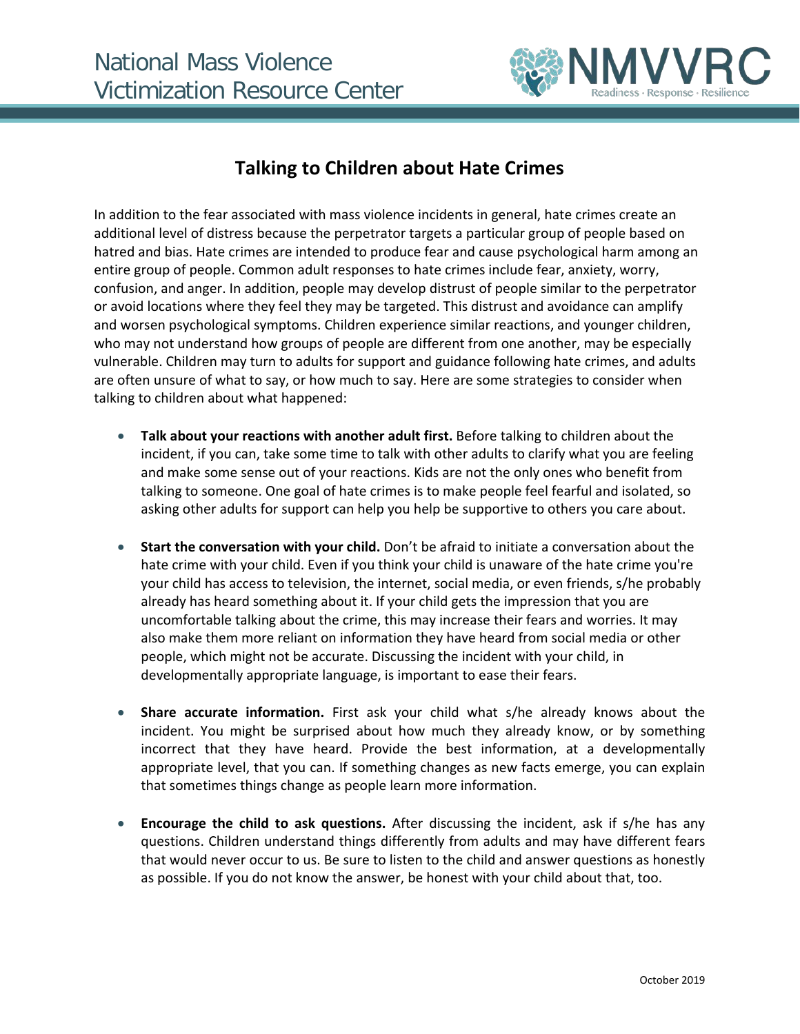

## **Talking to Children about Hate Crimes**

In addition to the fear associated with mass violence incidents in general, hate crimes create an additional level of distress because the perpetrator targets a particular group of people based on hatred and bias. Hate crimes are intended to produce fear and cause psychological harm among an entire group of people. Common adult responses to hate crimes include fear, anxiety, worry, confusion, and anger. In addition, people may develop distrust of people similar to the perpetrator or avoid locations where they feel they may be targeted. This distrust and avoidance can amplify and worsen psychological symptoms. Children experience similar reactions, and younger children, who may not understand how groups of people are different from one another, may be especially vulnerable. Children may turn to adults for support and guidance following hate crimes, and adults are often unsure of what to say, or how much to say. Here are some strategies to consider when talking to children about what happened:

- **Talk about your reactions with another adult first.** Before talking to children about the incident, if you can, take some time to talk with other adults to clarify what you are feeling and make some sense out of your reactions. Kids are not the only ones who benefit from talking to someone. One goal of hate crimes is to make people feel fearful and isolated, so asking other adults for support can help you help be supportive to others you care about.
- **Start the conversation with your child.** Don't be afraid to initiate a conversation about the hate crime with your child. Even if you think your child is unaware of the hate crime you're your child has access to television, the internet, social media, or even friends, s/he probably already has heard something about it. If your child gets the impression that you are uncomfortable talking about the crime, this may increase their fears and worries. It may also make them more reliant on information they have heard from social media or other people, which might not be accurate. Discussing the incident with your child, in developmentally appropriate language, is important to ease their fears.
- **Share accurate information.** First ask your child what s/he already knows about the incident. You might be surprised about how much they already know, or by something incorrect that they have heard. Provide the best information, at a developmentally appropriate level, that you can. If something changes as new facts emerge, you can explain that sometimes things change as people learn more information.
- **Encourage the child to ask questions.** After discussing the incident, ask if s/he has any questions. Children understand things differently from adults and may have different fears that would never occur to us. Be sure to listen to the child and answer questions as honestly as possible. If you do not know the answer, be honest with your child about that, too.